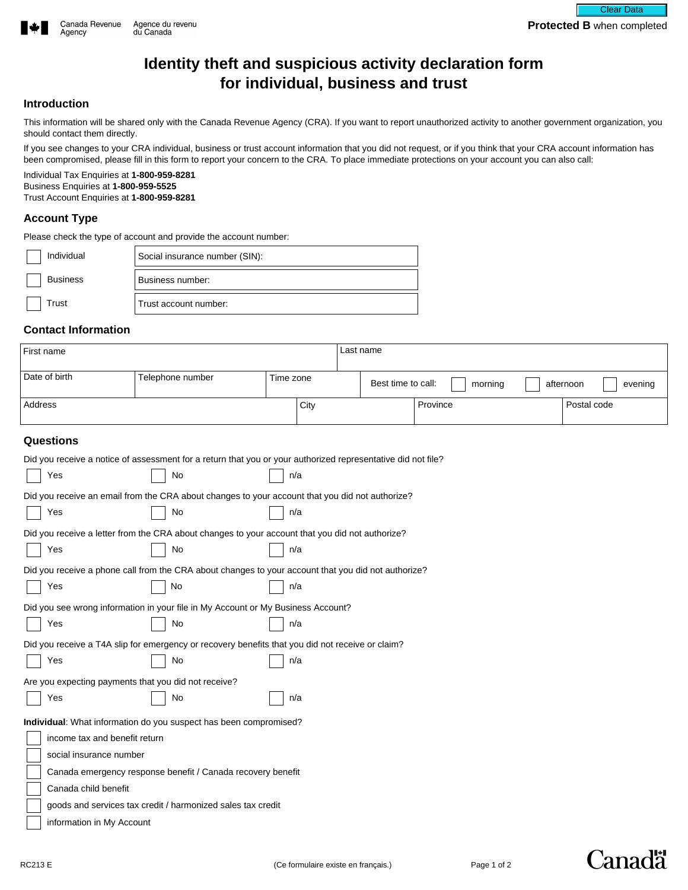

# **Identity theft and suspicious activity declaration form for individual, business and trust**

#### **Introduction**

This information will be shared only with the Canada Revenue Agency (CRA). If you want to report unauthorized activity to another government organization, you should contact them directly.

If you see changes to your CRA individual, business or trust account information that you did not request, or if you think that your CRA account information has been compromised, please fill in this form to report your concern to the CRA. To place immediate protections on your account you can also call:

Individual Tax Enquiries at **1-800-959-8281** Business Enquiries at **1-800-959-5525** Trust Account Enquiries at **1-800-959-8281**

## **Account Type**

Please check the type of account and provide the account number:

| Individual      | Social insurance number (SIN): |  |
|-----------------|--------------------------------|--|
| <b>Business</b> | Business number:               |  |
| Trust           | Trust account number:          |  |

## **Contact Information**

| First name                                                                                                   |                                                                                                 |           | Last name                     |                                      |  |
|--------------------------------------------------------------------------------------------------------------|-------------------------------------------------------------------------------------------------|-----------|-------------------------------|--------------------------------------|--|
| Date of birth                                                                                                | Telephone number                                                                                | Time zone | Best time to call:<br>morning | afternoon<br>evening                 |  |
| Address                                                                                                      |                                                                                                 | City      | Province                      | Postal code<br>$\blacktriangleright$ |  |
| <b>Questions</b>                                                                                             |                                                                                                 |           |                               |                                      |  |
| Did you receive a notice of assessment for a return that you or your authorized representative did not file? |                                                                                                 |           |                               |                                      |  |
| Yes                                                                                                          | No                                                                                              | n/a       |                               |                                      |  |
|                                                                                                              | Did you receive an email from the CRA about changes to your account that you did not authorize? |           |                               |                                      |  |
| Yes                                                                                                          | No                                                                                              | n/a       |                               |                                      |  |
|                                                                                                              | Did you receive a letter from the CRA about changes to your account that you did not authorize? |           |                               |                                      |  |
| Yes                                                                                                          | No                                                                                              | n/a       |                               |                                      |  |
| Did you receive a phone call from the CRA about changes to your account that you did not authorize?          |                                                                                                 |           |                               |                                      |  |
| Yes                                                                                                          | No                                                                                              | n/a       |                               |                                      |  |
| Did you see wrong information in your file in My Account or My Business Account?                             |                                                                                                 |           |                               |                                      |  |
| Yes                                                                                                          | No                                                                                              | n/a       |                               |                                      |  |
| Did you receive a T4A slip for emergency or recovery benefits that you did not receive or claim?             |                                                                                                 |           |                               |                                      |  |
| Yes                                                                                                          | No                                                                                              | n/a       |                               |                                      |  |
| Are you expecting payments that you did not receive?                                                         |                                                                                                 |           |                               |                                      |  |
| Yes                                                                                                          | No                                                                                              | n/a       |                               |                                      |  |
|                                                                                                              | Individual: What information do you suspect has been compromised?                               |           |                               |                                      |  |
| income tax and benefit return                                                                                |                                                                                                 |           |                               |                                      |  |
| social insurance number                                                                                      |                                                                                                 |           |                               |                                      |  |
| Canada emergency response benefit / Canada recovery benefit                                                  |                                                                                                 |           |                               |                                      |  |
| Canada child benefit                                                                                         |                                                                                                 |           |                               |                                      |  |
| goods and services tax credit / harmonized sales tax credit                                                  |                                                                                                 |           |                               |                                      |  |
| information in My Account                                                                                    |                                                                                                 |           |                               |                                      |  |

**Canadä**